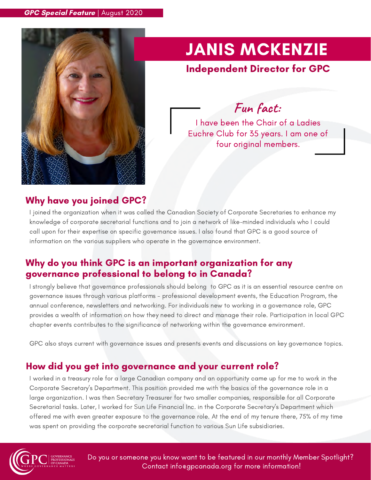

# JANIS MCKENZIE

## Independent Director for GPC

**Fun fact:**

I have been the Chair of a Ladies Euchre Club for 35 years. I am one of four original members.

## Why have you joined GPC?

I joined the organization when it was called the Canadian Society of Corporate Secretaries to enhance my knowledge of corporate secretarial functions and to join a network of like-minded individuals who I could call upon for their expertise on specific governance issues. I also found that GPC is a good source of information on the various suppliers who operate in the governance environment.

### Why do you think GPC is an important organization for any governance professional to belong to in Canada?

I strongly believe that governance professionals should belong to GPC as it is an essential resource centre on governance issues through various platforms - professional development events, the Education Program, the annual conference, newsletters and networking. For individuals new to working in a governance role, GPC provides a wealth of information on how they need to direct and manage their role. Participation in local GPC chapter events contributes to the significance of networking within the governance environment.

GPC also stays current with governance issues and presents events and discussions on key governance topics.

## How did you get into governance and your current role?

I worked in a treasury role for a large Canadian company and an opportunity came up for me to work in the Corporate Secretary's Department. This position provided me with the basics of the governance role in a large organization. I was then Secretary Treasurer for two smaller companies, responsible for all Corporate Secretarial tasks. Later, I worked for Sun Life Financial Inc. in the Corporate Secretary's Department which offered me with even greater exposure to the governance role. At the end of my tenure there, 75% of my time was spent on providing the corporate secretarial function to various Sun Life subsidiaries.